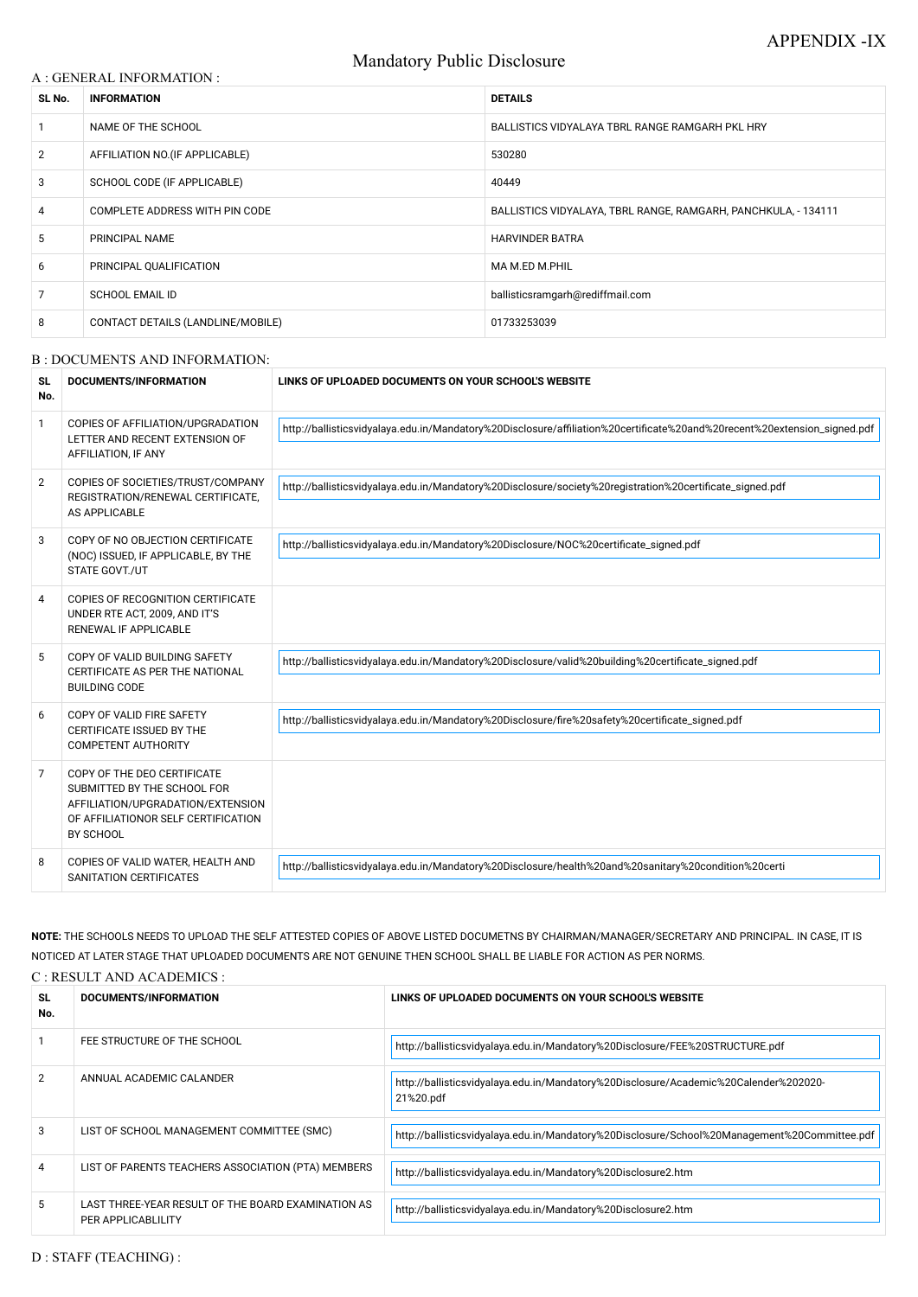# Mandatory Public Disclosure

#### A : GENERAL INFORMATION :

| SL No.         | <b>INFORMATION</b>                | <b>DETAILS</b>                                                 |
|----------------|-----------------------------------|----------------------------------------------------------------|
| $\mathbf{1}$   | NAME OF THE SCHOOL                | BALLISTICS VIDYALAYA TBRL RANGE RAMGARH PKL HRY                |
| $\overline{2}$ | AFFILIATION NO. (IF APPLICABLE)   | 530280                                                         |
| 3              | SCHOOL CODE (IF APPLICABLE)       | 40449                                                          |
| $\overline{4}$ | COMPLETE ADDRESS WITH PIN CODE    | BALLISTICS VIDYALAYA, TBRL RANGE, RAMGARH, PANCHKULA, - 134111 |
| 5              | PRINCIPAL NAME                    | <b>HARVINDER BATRA</b>                                         |
| 6              | PRINCIPAL QUALIFICATION           | MA M.ED M.PHIL                                                 |
| 7              | <b>SCHOOL EMAIL ID</b>            | ballisticsramgarh@rediffmail.com                               |
| 8              | CONTACT DETAILS (LANDLINE/MOBILE) | 01733253039                                                    |

#### B : DOCUMENTS AND INFORMATION:

| <b>SL</b><br>No. | <b>DOCUMENTS/INFORMATION</b>                                                                                                                        | LINKS OF UPLOADED DOCUMENTS ON YOUR SCHOOL'S WEBSITE                                                                     |
|------------------|-----------------------------------------------------------------------------------------------------------------------------------------------------|--------------------------------------------------------------------------------------------------------------------------|
| 1                | COPIES OF AFFILIATION/UPGRADATION<br>LETTER AND RECENT EXTENSION OF<br>AFFILIATION, IF ANY                                                          | http://ballisticsvidyalaya.edu.in/Mandatory%20Disclosure/affiliation%20certificate%20and%20recent%20extension_signed.pdf |
| $\overline{2}$   | COPIES OF SOCIETIES/TRUST/COMPANY<br>REGISTRATION/RENEWAL CERTIFICATE,<br>AS APPLICABLE                                                             | http://ballisticsvidyalaya.edu.in/Mandatory%20Disclosure/society%20registration%20certificate_signed.pdf                 |
| 3                | COPY OF NO OBJECTION CERTIFICATE<br>(NOC) ISSUED, IF APPLICABLE, BY THE<br>STATE GOVT./UT                                                           | http://ballisticsvidyalaya.edu.in/Mandatory%20Disclosure/NOC%20certificate_signed.pdf                                    |
| 4                | COPIES OF RECOGNITION CERTIFICATE<br>UNDER RTE ACT, 2009, AND IT'S<br>RENEWAL IF APPLICABLE                                                         |                                                                                                                          |
| 5                | COPY OF VALID BUILDING SAFETY<br>CERTIFICATE AS PER THE NATIONAL<br><b>BUILDING CODE</b>                                                            | http://ballisticsvidyalaya.edu.in/Mandatory%20Disclosure/valid%20building%20certificate_signed.pdf                       |
| 6                | COPY OF VALID FIRE SAFETY<br>CERTIFICATE ISSUED BY THE<br><b>COMPETENT AUTHORITY</b>                                                                | http://ballisticsvidyalaya.edu.in/Mandatory%20Disclosure/fire%20safety%20certificate_signed.pdf                          |
| 7                | COPY OF THE DEO CERTIFICATE<br>SUBMITTED BY THE SCHOOL FOR<br>AFFILIATION/UPGRADATION/EXTENSION<br>OF AFFILIATIONOR SELF CERTIFICATION<br>BY SCHOOL |                                                                                                                          |
| 8                | COPIES OF VALID WATER, HEALTH AND<br><b>SANITATION CERTIFICATES</b>                                                                                 | http://ballisticsvidyalaya.edu.in/Mandatory%20Disclosure/health%20and%20sanitary%20condition%20certi                     |

**NOTE:** THE SCHOOLS NEEDS TO UPLOAD THE SELF ATTESTED COPIES OF ABOVE LISTED DOCUMETNS BY CHAIRMAN/MANAGER/SECRETARY AND PRINCIPAL. IN CASE, IT IS NOTICED AT LATER STAGE THAT UPLOADED DOCUMENTS ARE NOT GENUINE THEN SCHOOL SHALL BE LIABLE FOR ACTION AS PER NORMS. C : RESULT AND ACADEMICS :

| <b>SL</b><br>No. | DOCUMENTS/INFORMATION                                                           | LINKS OF UPLOADED DOCUMENTS ON YOUR SCHOOL'S WEBSITE                                              |
|------------------|---------------------------------------------------------------------------------|---------------------------------------------------------------------------------------------------|
|                  | FEE STRUCTURE OF THE SCHOOL                                                     | http://ballisticsvidyalaya.edu.in/Mandatory%20Disclosure/FEE%20STRUCTURE.pdf                      |
| $\mathcal{P}$    | ANNUAL ACADEMIC CALANDER                                                        | http://ballisticsvidyalaya.edu.in/Mandatory%20Disclosure/Academic%20Calender%202020-<br>21%20.pdf |
| 3                | LIST OF SCHOOL MANAGEMENT COMMITTEE (SMC)                                       | http://ballisticsvidyalaya.edu.in/Mandatory%20Disclosure/School%20Management%20Committee.pdf      |
| 4                | LIST OF PARENTS TEACHERS ASSOCIATION (PTA) MEMBERS                              | http://ballisticsvidyalaya.edu.in/Mandatory%20Disclosure2.htm                                     |
| 5                | LAST THREE-YEAR RESULT OF THE BOARD EXAMINATION AS<br><b>PER APPLICABLILITY</b> | http://ballisticsvidyalaya.edu.in/Mandatory%20Disclosure2.htm                                     |

D : STAFF (TEACHING) :